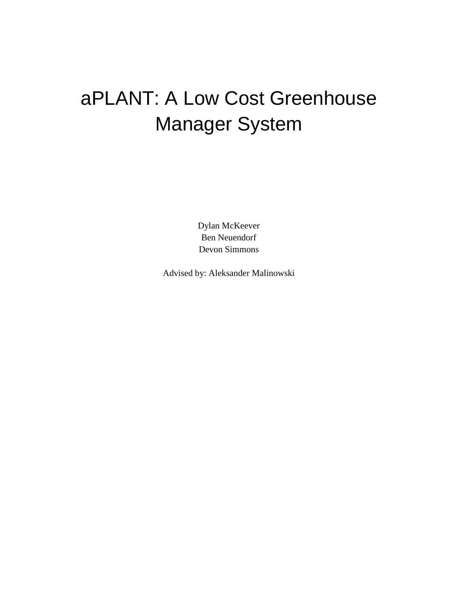# aPLANT: A Low Cost Greenhouse Manager System

Dylan McKeever Ben Neuendorf Devon Simmons

Advised by: Aleksander Malinowski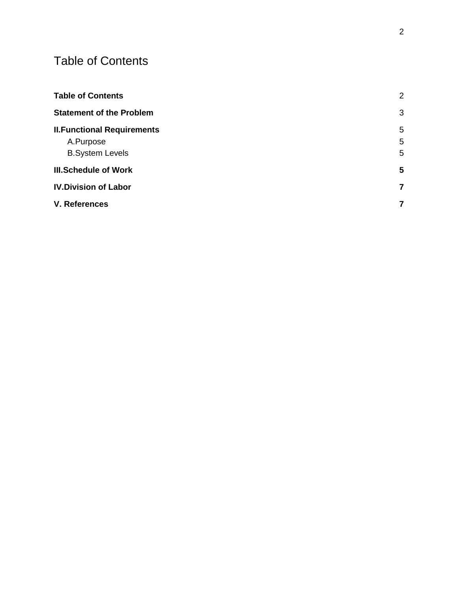## <span id="page-1-0"></span>Table of Contents

| <b>Table of Contents</b>           | $\overline{2}$ |
|------------------------------------|----------------|
| <b>Statement of the Problem</b>    | 3              |
| <b>II. Functional Requirements</b> | 5              |
| A.Purpose                          | 5              |
| <b>B.System Levels</b>             | 5              |
| <b>III.Schedule of Work</b>        | 5              |
| <b>IV.Division of Labor</b>        | 7              |
| V. References                      | 7              |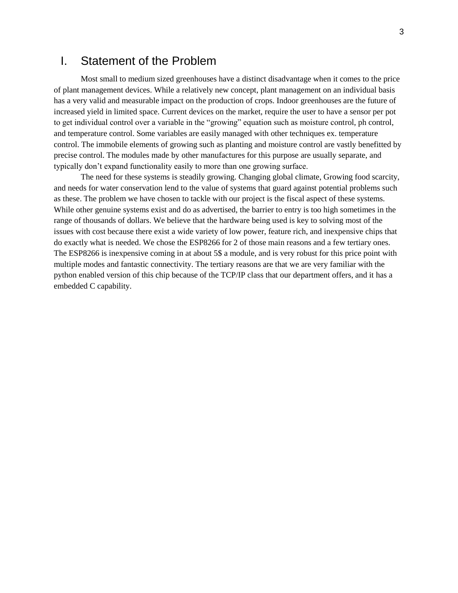#### <span id="page-2-0"></span>I. Statement of the Problem

Most small to medium sized greenhouses have a distinct disadvantage when it comes to the price of plant management devices. While a relatively new concept, plant management on an individual basis has a very valid and measurable impact on the production of crops. Indoor greenhouses are the future of increased yield in limited space. Current devices on the market, require the user to have a sensor per pot to get individual control over a variable in the "growing" equation such as moisture control, ph control, and temperature control. Some variables are easily managed with other techniques ex. temperature control. The immobile elements of growing such as planting and moisture control are vastly benefitted by precise control. The modules made by other manufactures for this purpose are usually separate, and typically don't expand functionality easily to more than one growing surface.

The need for these systems is steadily growing. Changing global climate, Growing food scarcity, and needs for water conservation lend to the value of systems that guard against potential problems such as these. The problem we have chosen to tackle with our project is the fiscal aspect of these systems. While other genuine systems exist and do as advertised, the barrier to entry is too high sometimes in the range of thousands of dollars. We believe that the hardware being used is key to solving most of the issues with cost because there exist a wide variety of low power, feature rich, and inexpensive chips that do exactly what is needed. We chose the ESP8266 for 2 of those main reasons and a few tertiary ones. The ESP8266 is inexpensive coming in at about 5\$ a module, and is very robust for this price point with multiple modes and fantastic connectivity. The tertiary reasons are that we are very familiar with the python enabled version of this chip because of the TCP/IP class that our department offers, and it has a embedded C capability.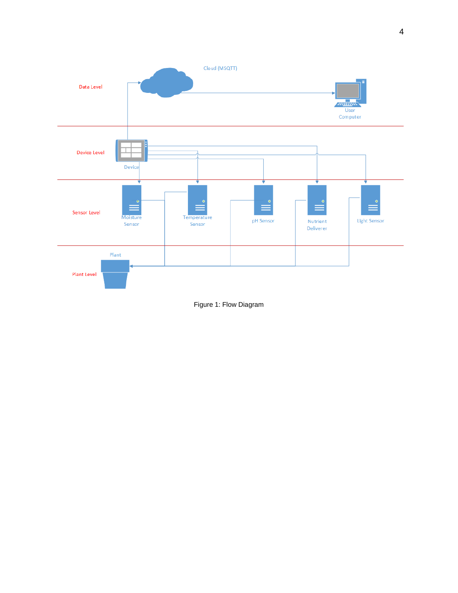

Figure 1: Flow Diagram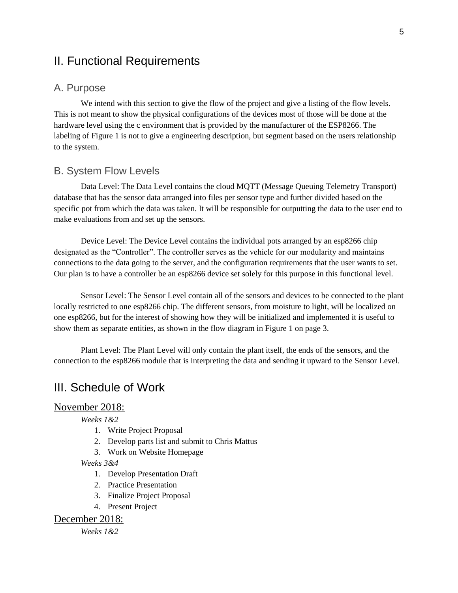## <span id="page-4-0"></span>II. Functional Requirements

#### <span id="page-4-1"></span>A. Purpose

We intend with this section to give the flow of the project and give a listing of the flow levels. This is not meant to show the physical configurations of the devices most of those will be done at the hardware level using the c environment that is provided by the manufacturer of the ESP8266. The labeling of Figure 1 is not to give a engineering description, but segment based on the users relationship to the system.

#### <span id="page-4-2"></span>B. System Flow Levels

Data Level: The Data Level contains the cloud MQTT (Message Queuing Telemetry Transport) database that has the sensor data arranged into files per sensor type and further divided based on the specific pot from which the data was taken. It will be responsible for outputting the data to the user end to make evaluations from and set up the sensors.

Device Level: The Device Level contains the individual pots arranged by an esp8266 chip designated as the "Controller". The controller serves as the vehicle for our modularity and maintains connections to the data going to the server, and the configuration requirements that the user wants to set. Our plan is to have a controller be an esp8266 device set solely for this purpose in this functional level.

Sensor Level: The Sensor Level contain all of the sensors and devices to be connected to the plant locally restricted to one esp8266 chip. The different sensors, from moisture to light, will be localized on one esp8266, but for the interest of showing how they will be initialized and implemented it is useful to show them as separate entities, as shown in the flow diagram in Figure 1 on page 3.

Plant Level: The Plant Level will only contain the plant itself, the ends of the sensors, and the connection to the esp8266 module that is interpreting the data and sending it upward to the Sensor Level.

### <span id="page-4-3"></span>III. Schedule of Work

#### November 2018:

*Weeks 1&2*

- 1. Write Project Proposal
- 2. Develop parts list and submit to Chris Mattus
- 3. Work on Website Homepage

#### *Weeks 3&4*

- 1. Develop Presentation Draft
- 2. Practice Presentation
- 3. Finalize Project Proposal
- 4. Present Project

#### December 2018:

*Weeks 1&2*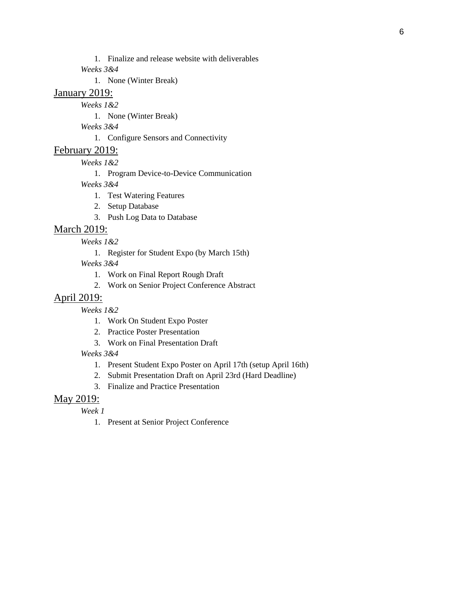1. Finalize and release website with deliverables

*Weeks 3&4*

1. None (Winter Break)

#### January 2019:

*Weeks 1&2*

1. None (Winter Break)

*Weeks 3&4*

1. Configure Sensors and Connectivity

#### February 2019:

*Weeks 1&2*

1. Program Device-to-Device Communication

*Weeks 3&4*

- 1. Test Watering Features
- 2. Setup Database
- 3. Push Log Data to Database

#### March 2019:

*Weeks 1&2*

1. Register for Student Expo (by March 15th)

*Weeks 3&4*

- 1. Work on Final Report Rough Draft
- 2. Work on Senior Project Conference Abstract

#### April 2019:

*Weeks 1&2*

- 1. Work On Student Expo Poster
- 2. Practice Poster Presentation
- 3. Work on Final Presentation Draft

*Weeks 3&4*

- 1. Present Student Expo Poster on April 17th (setup April 16th)
- 2. Submit Presentation Draft on April 23rd (Hard Deadline)
- 3. Finalize and Practice Presentation

#### May 2019:

*Week 1*

1. Present at Senior Project Conference